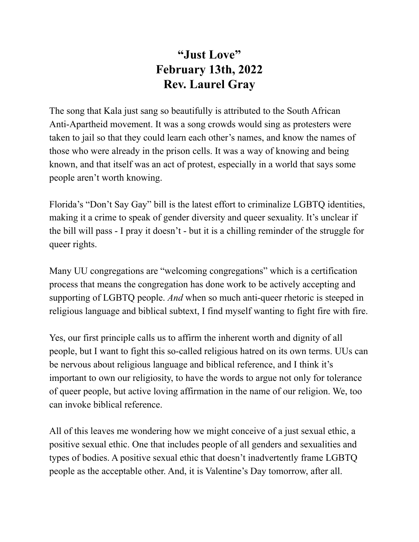## **"Just Love" February 13th, 2022 Rev. Laurel Gray**

The song that Kala just sang so beautifully is attributed to the South African Anti-Apartheid movement. It was a song crowds would sing as protesters were taken to jail so that they could learn each other's names, and know the names of those who were already in the prison cells. It was a way of knowing and being known, and that itself was an act of protest, especially in a world that says some people aren't worth knowing.

Florida's "Don't Say Gay" bill is the latest effort to criminalize LGBTQ identities, making it a crime to speak of gender diversity and queer sexuality. It's unclear if the bill will pass - I pray it doesn't - but it is a chilling reminder of the struggle for queer rights.

Many UU congregations are "welcoming congregations" which is a certification process that means the congregation has done work to be actively accepting and supporting of LGBTQ people. *And* when so much anti-queer rhetoric is steeped in religious language and biblical subtext, I find myself wanting to fight fire with fire.

Yes, our first principle calls us to affirm the inherent worth and dignity of all people, but I want to fight this so-called religious hatred on its own terms. UUs can be nervous about religious language and biblical reference, and I think it's important to own our religiosity, to have the words to argue not only for tolerance of queer people, but active loving affirmation in the name of our religion. We, too can invoke biblical reference.

All of this leaves me wondering how we might conceive of a just sexual ethic, a positive sexual ethic. One that includes people of all genders and sexualities and types of bodies. A positive sexual ethic that doesn't inadvertently frame LGBTQ people as the acceptable other. And, it is Valentine's Day tomorrow, after all.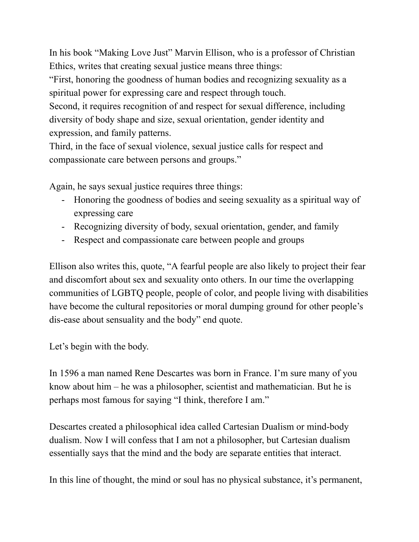In his book "Making Love Just" Marvin Ellison, who is a professor of Christian Ethics, writes that creating sexual justice means three things:

"First, honoring the goodness of human bodies and recognizing sexuality as a spiritual power for expressing care and respect through touch.

Second, it requires recognition of and respect for sexual difference, including diversity of body shape and size, sexual orientation, gender identity and expression, and family patterns.

Third, in the face of sexual violence, sexual justice calls for respect and compassionate care between persons and groups."

Again, he says sexual justice requires three things:

- Honoring the goodness of bodies and seeing sexuality as a spiritual way of expressing care
- Recognizing diversity of body, sexual orientation, gender, and family
- Respect and compassionate care between people and groups

Ellison also writes this, quote, "A fearful people are also likely to project their fear and discomfort about sex and sexuality onto others. In our time the overlapping communities of LGBTQ people, people of color, and people living with disabilities have become the cultural repositories or moral dumping ground for other people's dis-ease about sensuality and the body" end quote.

Let's begin with the body.

In 1596 a man named Rene Descartes was born in France. I'm sure many of you know about him – he was a philosopher, scientist and mathematician. But he is perhaps most famous for saying "I think, therefore I am."

Descartes created a philosophical idea called Cartesian Dualism or mind-body dualism. Now I will confess that I am not a philosopher, but Cartesian dualism essentially says that the mind and the body are separate entities that interact.

In this line of thought, the mind or soul has no physical substance, it's permanent,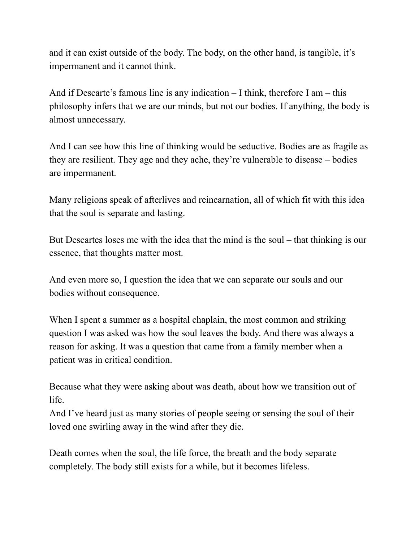and it can exist outside of the body. The body, on the other hand, is tangible, it's impermanent and it cannot think.

And if Descarte's famous line is any indication – I think, therefore I am – this philosophy infers that we are our minds, but not our bodies. If anything, the body is almost unnecessary.

And I can see how this line of thinking would be seductive. Bodies are as fragile as they are resilient. They age and they ache, they're vulnerable to disease – bodies are impermanent.

Many religions speak of afterlives and reincarnation, all of which fit with this idea that the soul is separate and lasting.

But Descartes loses me with the idea that the mind is the soul – that thinking is our essence, that thoughts matter most.

And even more so, I question the idea that we can separate our souls and our bodies without consequence.

When I spent a summer as a hospital chaplain, the most common and striking question I was asked was how the soul leaves the body. And there was always a reason for asking. It was a question that came from a family member when a patient was in critical condition.

Because what they were asking about was death, about how we transition out of life.

And I've heard just as many stories of people seeing or sensing the soul of their loved one swirling away in the wind after they die.

Death comes when the soul, the life force, the breath and the body separate completely. The body still exists for a while, but it becomes lifeless.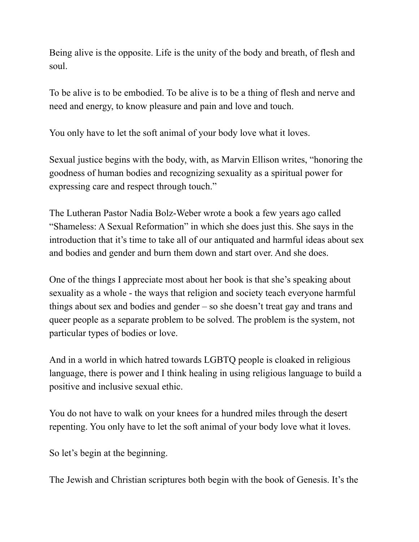Being alive is the opposite. Life is the unity of the body and breath, of flesh and soul.

To be alive is to be embodied. To be alive is to be a thing of flesh and nerve and need and energy, to know pleasure and pain and love and touch.

You only have to let the soft animal of your body love what it loves.

Sexual justice begins with the body, with, as Marvin Ellison writes, "honoring the goodness of human bodies and recognizing sexuality as a spiritual power for expressing care and respect through touch."

The Lutheran Pastor Nadia Bolz-Weber wrote a book a few years ago called "Shameless: A Sexual Reformation" in which she does just this. She says in the introduction that it's time to take all of our antiquated and harmful ideas about sex and bodies and gender and burn them down and start over. And she does.

One of the things I appreciate most about her book is that she's speaking about sexuality as a whole - the ways that religion and society teach everyone harmful things about sex and bodies and gender – so she doesn't treat gay and trans and queer people as a separate problem to be solved. The problem is the system, not particular types of bodies or love.

And in a world in which hatred towards LGBTQ people is cloaked in religious language, there is power and I think healing in using religious language to build a positive and inclusive sexual ethic.

You do not have to walk on your knees for a hundred miles through the desert repenting. You only have to let the soft animal of your body love what it loves.

So let's begin at the beginning.

The Jewish and Christian scriptures both begin with the book of Genesis. It's the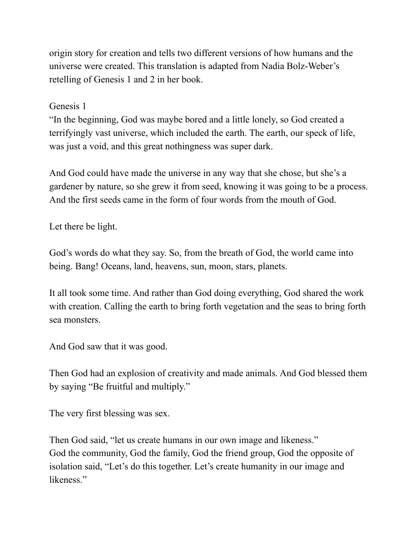origin story for creation and tells two different versions of how humans and the universe were created. This translation is adapted from Nadia Bolz-Weber's retelling of Genesis 1 and 2 in her book.

## Genesis 1

"In the beginning, God was maybe bored and a little lonely, so God created a terrifyingly vast universe, which included the earth. The earth, our speck of life, was just a void, and this great nothingness was super dark.

And God could have made the universe in any way that she chose, but she's a gardener by nature, so she grew it from seed, knowing it was going to be a process. And the first seeds came in the form of four words from the mouth of God.

Let there be light.

God's words do what they say. So, from the breath of God, the world came into being. Bang! Oceans, land, heavens, sun, moon, stars, planets.

It all took some time. And rather than God doing everything, God shared the work with creation. Calling the earth to bring forth vegetation and the seas to bring forth sea monsters.

And God saw that it was good.

Then God had an explosion of creativity and made animals. And God blessed them by saying "Be fruitful and multiply."

The very first blessing was sex.

Then God said, "let us create humans in our own image and likeness." God the community, God the family, God the friend group, God the opposite of isolation said, "Let's do this together. Let's create humanity in our image and likeness."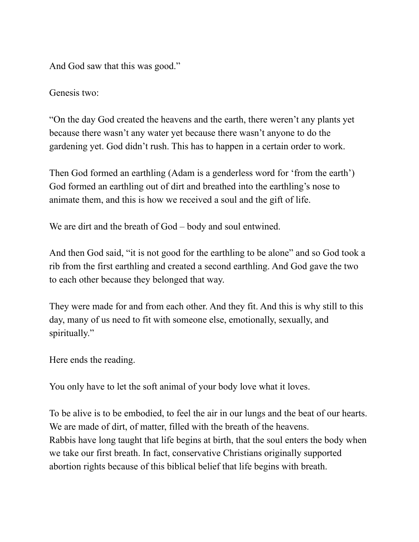And God saw that this was good."

Genesis two:

"On the day God created the heavens and the earth, there weren't any plants yet because there wasn't any water yet because there wasn't anyone to do the gardening yet. God didn't rush. This has to happen in a certain order to work.

Then God formed an earthling (Adam is a genderless word for 'from the earth') God formed an earthling out of dirt and breathed into the earthling's nose to animate them, and this is how we received a soul and the gift of life.

We are dirt and the breath of God – body and soul entwined.

And then God said, "it is not good for the earthling to be alone" and so God took a rib from the first earthling and created a second earthling. And God gave the two to each other because they belonged that way.

They were made for and from each other. And they fit. And this is why still to this day, many of us need to fit with someone else, emotionally, sexually, and spiritually."

Here ends the reading.

You only have to let the soft animal of your body love what it loves.

To be alive is to be embodied, to feel the air in our lungs and the beat of our hearts. We are made of dirt, of matter, filled with the breath of the heavens. Rabbis have long taught that life begins at birth, that the soul enters the body when we take our first breath. In fact, conservative Christians originally supported abortion rights because of this biblical belief that life begins with breath.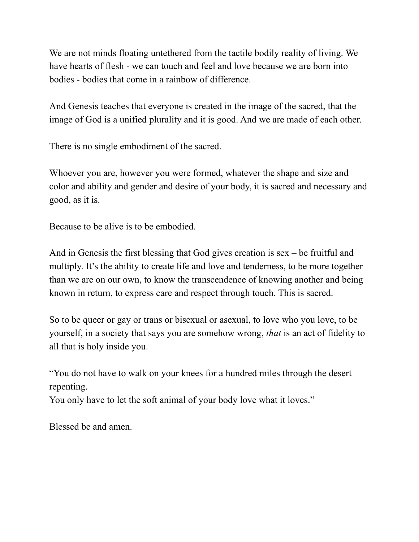We are not minds floating untethered from the tactile bodily reality of living. We have hearts of flesh - we can touch and feel and love because we are born into bodies - bodies that come in a rainbow of difference.

And Genesis teaches that everyone is created in the image of the sacred, that the image of God is a unified plurality and it is good. And we are made of each other.

There is no single embodiment of the sacred.

Whoever you are, however you were formed, whatever the shape and size and color and ability and gender and desire of your body, it is sacred and necessary and good, as it is.

Because to be alive is to be embodied.

And in Genesis the first blessing that God gives creation is sex – be fruitful and multiply. It's the ability to create life and love and tenderness, to be more together than we are on our own, to know the transcendence of knowing another and being known in return, to express care and respect through touch. This is sacred.

So to be queer or gay or trans or bisexual or asexual, to love who you love, to be yourself, in a society that says you are somehow wrong, *that* is an act of fidelity to all that is holy inside you.

"You do not have to walk on your knees for a hundred miles through the desert repenting.

You only have to let the soft animal of your body love what it loves."

Blessed be and amen.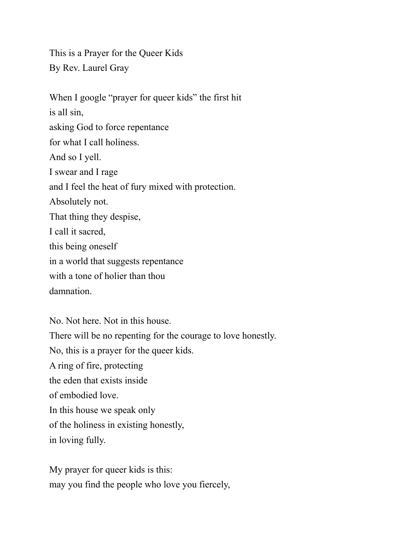This is a Prayer for the Queer Kids By Rev. Laurel Gray

When I google "prayer for queer kids" the first hit is all sin, asking God to force repentance for what I call holiness. And so I yell. I swear and I rage and I feel the heat of fury mixed with protection. Absolutely not. That thing they despise, I call it sacred, this being oneself in a world that suggests repentance with a tone of holier than thou damnation.

No. Not here. Not in this house. There will be no repenting for the courage to love honestly. No, this is a prayer for the queer kids. A ring of fire, protecting the eden that exists inside of embodied love. In this house we speak only of the holiness in existing honestly, in loving fully.

My prayer for queer kids is this: may you find the people who love you fiercely,